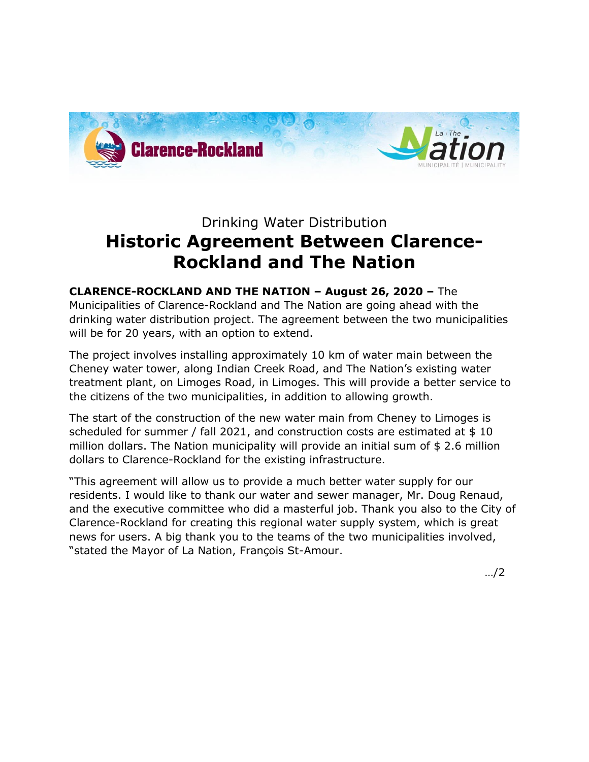

## Drinking Water Distribution **Historic Agreement Between Clarence-Rockland and The Nation**

## **CLARENCE-ROCKLAND AND THE NATION – August 26, 2020 –** The

Municipalities of Clarence-Rockland and The Nation are going ahead with the drinking water distribution project. The agreement between the two municipalities will be for 20 years, with an option to extend.

The project involves installing approximately 10 km of water main between the Cheney water tower, along Indian Creek Road, and The Nation's existing water treatment plant, on Limoges Road, in Limoges. This will provide a better service to the citizens of the two municipalities, in addition to allowing growth.

The start of the construction of the new water main from Cheney to Limoges is scheduled for summer / fall 2021, and construction costs are estimated at \$ 10 million dollars. The Nation municipality will provide an initial sum of \$ 2.6 million dollars to Clarence-Rockland for the existing infrastructure.

"This agreement will allow us to provide a much better water supply for our residents. I would like to thank our water and sewer manager, Mr. Doug Renaud, and the executive committee who did a masterful job. Thank you also to the City of Clarence-Rockland for creating this regional water supply system, which is great news for users. A big thank you to the teams of the two municipalities involved, "stated the Mayor of La Nation, François St-Amour.